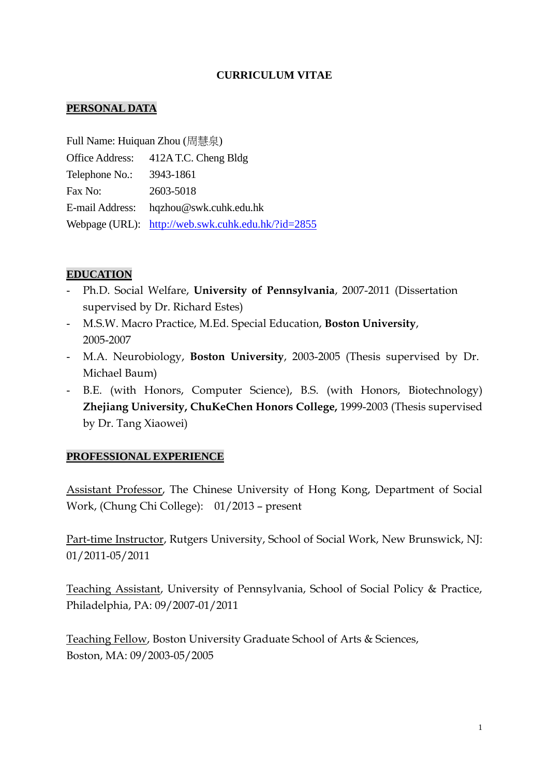## **CURRICULUM VITAE**

#### **PERSONAL DATA**

Full Name: Huiquan Zhou (周慧泉) Office Address: 412A T.C. Cheng Bldg Telephone No.: 3943-1861 Fax No: 2603-5018 E-mail Address: hqzhou@swk.cuhk.edu.hk Webpage (URL): <http://web.swk.cuhk.edu.hk/?id=2855>

#### **EDUCATION**

- Ph.D. Social Welfare, **University of Pennsylvania**, 2007-2011 (Dissertation supervised by Dr. Richard Estes)
- M.S.W. Macro Practice, M.Ed. Special Education, **Boston University**, 2005-2007
- M.A. Neurobiology, **Boston University**, 2003-2005 (Thesis supervised by Dr. Michael Baum)
- B.E. (with Honors, Computer Science), B.S. (with Honors, Biotechnology) **Zhejiang University, ChuKeChen Honors College,** 1999-2003 (Thesis supervised by Dr. Tang Xiaowei)

#### **PROFESSIONAL EXPERIENCE**

Assistant Professor, The Chinese University of Hong Kong, Department of Social Work, (Chung Chi College): 01/2013 – present

Part-time Instructor, Rutgers University, School of Social Work, New Brunswick, NJ: 01/2011-05/2011

Teaching Assistant, University of Pennsylvania, School of Social Policy & Practice, Philadelphia, PA: 09/2007-01/2011

Teaching Fellow, Boston University Graduate School of Arts & Sciences, Boston, MA: 09/2003-05/2005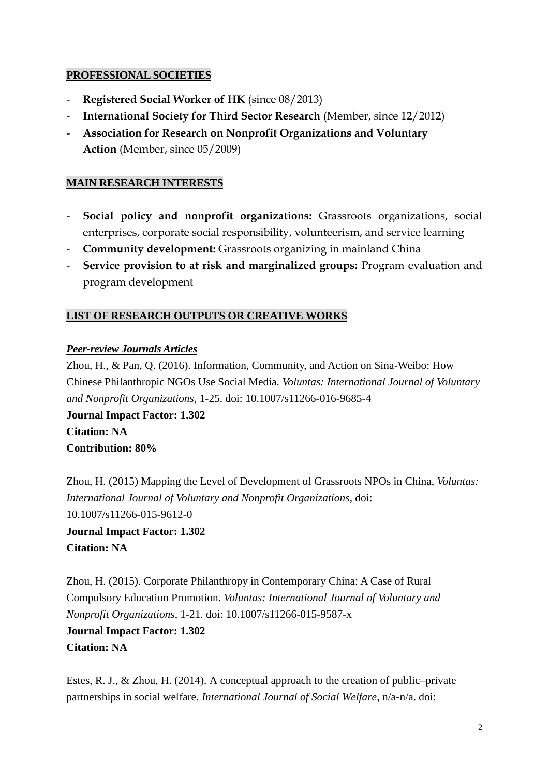## **PROFESSIONAL SOCIETIES**

- **Registered Social Worker of HK** (since 08/2013)
- **International Society for Third Sector Research** (Member, since 12/2012)
- **Association for Research on Nonprofit Organizations and Voluntary Action** (Member, since 05/2009)

## **MAIN RESEARCH INTERESTS**

- **Social policy and nonprofit organizations:** Grassroots organizations, social enterprises, corporate social responsibility, volunteerism, and service learning
- **Community development:** Grassroots organizing in mainland China
- **Service provision to at risk and marginalized groups:** Program evaluation and program development

## **LIST OF RESEARCH OUTPUTS OR CREATIVE WORKS**

## *Peer-review Journals Articles*

Zhou, H., & Pan, Q. (2016). Information, Community, and Action on Sina-Weibo: How Chinese Philanthropic NGOs Use Social Media. *Voluntas: International Journal of Voluntary and Nonprofit Organizations*, 1-25. doi: 10.1007/s11266-016-9685-4

**Journal Impact Factor: 1.302 Citation: NA Contribution: 80%**

Zhou, H. (2015) Mapping the Level of Development of Grassroots NPOs in China, *Voluntas: International Journal of Voluntary and Nonprofit Organizations*, doi: 10.1007/s11266-015-9612-0 **Journal Impact Factor: 1.302 Citation: NA**

Zhou, H. (2015). Corporate Philanthropy in Contemporary China: A Case of Rural Compulsory Education Promotion. *Voluntas: International Journal of Voluntary and Nonprofit Organizations*, 1-21. doi: 10.1007/s11266-015-9587-x **Journal Impact Factor: 1.302 Citation: NA**

Estes, R. J., & Zhou, H. (2014). A conceptual approach to the creation of public–private partnerships in social welfare. *International Journal of Social Welfare*, n/a-n/a. doi: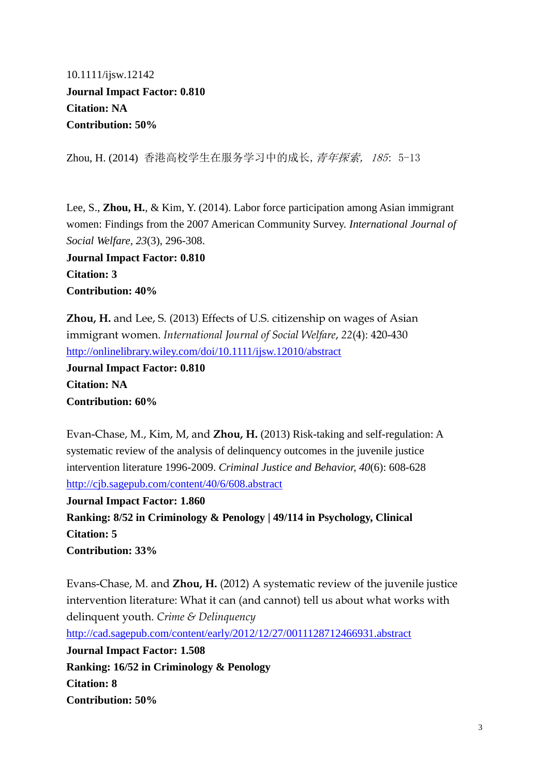10.1111/ijsw.12142 **Journal Impact Factor: 0.810 Citation: NA Contribution: 50%**

Zhou, H. (2014) 香港高校学生在服务学习中的成长, *青年探索, 185*: 5-13

Lee, S., **Zhou, H.**, & Kim, Y. (2014). Labor force participation among Asian immigrant women: Findings from the 2007 American Community Survey. *International Journal of Social Welfare, 23*(3), 296-308.

**Journal Impact Factor: 0.810 Citation: 3 Contribution: 40%**

**Zhou, H.** and Lee, S. (2013) Effects of U.S. citizenship on wages of Asian immigrant women. *International Journal of Social Welfare*, *22*(4): 420-430 <http://onlinelibrary.wiley.com/doi/10.1111/ijsw.12010/abstract> **Journal Impact Factor: 0.810 Citation: NA**

**Contribution: 60%**

Evan-Chase, M., Kim, M, and **Zhou, H.** (2013) Risk-taking and self-regulation: A systematic review of the analysis of delinquency outcomes in the juvenile justice intervention literature 1996-2009. *Criminal Justice and Behavior, 40*(6): 608-628 <http://cjb.sagepub.com/content/40/6/608.abstract>

**Journal Impact Factor: 1.860 Ranking: 8/52 in Criminology & Penology | 49/114 in Psychology, Clinical Citation: 5 Contribution: 33%**

Evans-Chase, M. and **Zhou, H.** (2012) A systematic review of the juvenile justice intervention literature: What it can (and cannot) tell us about what works with delinquent youth. *Crime & Delinquency* <http://cad.sagepub.com/content/early/2012/12/27/0011128712466931.abstract> **Journal Impact Factor: 1.508 Ranking: 16/52 in Criminology & Penology Citation: 8 Contribution: 50%**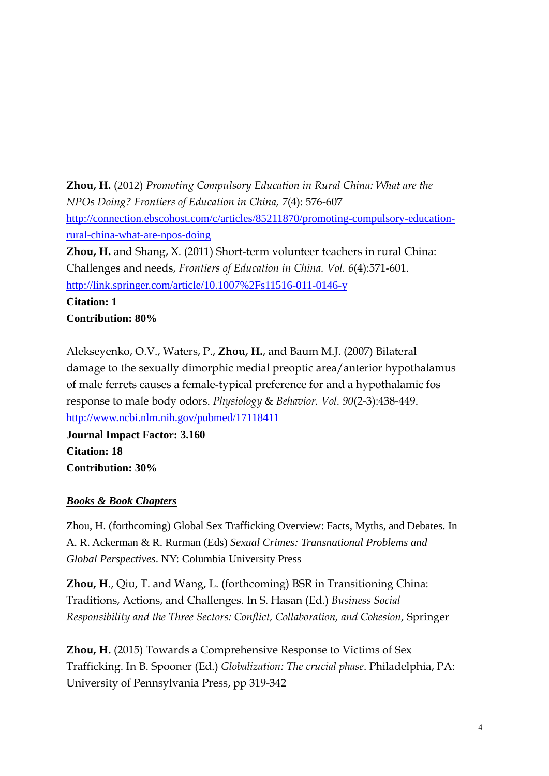**Zhou, H.** (2012) *Promoting Compulsory Education in Rural China: What are the NPOs Doing? Frontiers of Education in China, 7*(4): 576-607 [http://connection.ebscohost.com/c/articles/85211870/promoting-compulsory-education](http://connection.ebscohost.com/c/articles/85211870/promoting-compulsory-education-rural-china-what-are-npos-doing)[rural-china-what-are-npos-doing](http://connection.ebscohost.com/c/articles/85211870/promoting-compulsory-education-rural-china-what-are-npos-doing)

**Zhou, H.** and Shang, X. (2011) Short-term volunteer teachers in rural China: Challenges and needs, *Frontiers of Education in China. Vol. 6*(4):571-601. <http://link.springer.com/article/10.1007%2Fs11516-011-0146-y>

**Citation: 1 Contribution: 80%**

Alekseyenko, O.V., Waters, P., **Zhou, H.**, and Baum M.J. (2007) Bilateral damage to the sexually dimorphic medial preoptic area/anterior hypothalamus of male ferrets causes a female-typical preference for and a hypothalamic fos response to male body odors. *Physiology* & *Behavior. Vol. 90*(2-3):438-449. <http://www.ncbi.nlm.nih.gov/pubmed/17118411>

**Journal Impact Factor: 3.160 Citation: 18 Contribution: 30%**

## *Books & Book Chapters*

Zhou, H. (forthcoming) Global Sex Trafficking Overview: Facts, Myths, and Debates. In A. R. Ackerman & R. Rurman (Eds) *Sexual Crimes: Transnational Problems and Global Perspectives*. NY: Columbia University Press

**Zhou, H**., Qiu, T. and Wang, L. (forthcoming) BSR in Transitioning China: Traditions, Actions, and Challenges. In S. Hasan (Ed.) *Business Social Responsibility and the Three Sectors: Conflict, Collaboration, and Cohesion,* Springer

**Zhou, H.** (2015) Towards a Comprehensive Response to Victims of Sex Trafficking. In B. Spooner (Ed.) *Globalization: The crucial phase*. Philadelphia, PA: University of Pennsylvania Press, pp 319-342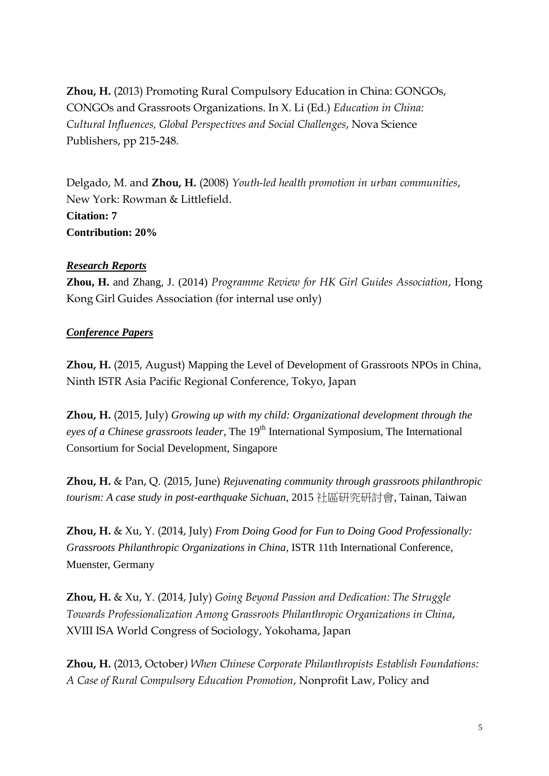**Zhou, H.** (2013) Promoting Rural Compulsory Education in China: GONGOs, CONGOs and Grassroots Organizations. In X. Li (Ed.) *Education in China: Cultural Influences, Global Perspectives and Social Challenges*, Nova Science Publishers, pp 215-248.

Delgado, M. and **Zhou, H.** (2008) *Youth-led health promotion in urban communities*, New York: Rowman & Littlefield. **Citation: 7 Contribution: 20%**

#### *Research Reports*

**Zhou, H.** and Zhang, J. (2014) *Programme Review for HK Girl Guides Association*, Hong Kong Girl Guides Association (for internal use only)

## *Conference Papers*

**Zhou, H.** (2015, August) Mapping the Level of Development of Grassroots NPOs in China, Ninth ISTR Asia Pacific Regional Conference, Tokyo, Japan

**Zhou, H.** (2015, July) *Growing up with my child: Organizational development through the eyes of a Chinese grassroots leader*, The 19th International Symposium, The International Consortium for Social Development, Singapore

**Zhou, H.** & Pan, Q. (2015, June) *Rejuvenating community through grassroots philanthropic tourism: A case study in post-earthquake Sichuan*, 2015 社區研究研討會, Tainan, Taiwan

**Zhou, H.** & Xu, Y. (2014, July) *From Doing Good for Fun to Doing Good Professionally: Grassroots Philanthropic Organizations in China*, ISTR 11th International Conference, Muenster, Germany

**Zhou, H.** & Xu, Y. (2014, July) *Going Beyond Passion and Dedication: The Struggle Towards Professionalization Among Grassroots Philanthropic Organizations in China*, XVIII ISA World Congress of Sociology, Yokohama, Japan

**Zhou, H.** (2013, October*) When Chinese Corporate Philanthropists Establish Foundations: A Case of Rural Compulsory Education Promotion*, Nonprofit Law, Policy and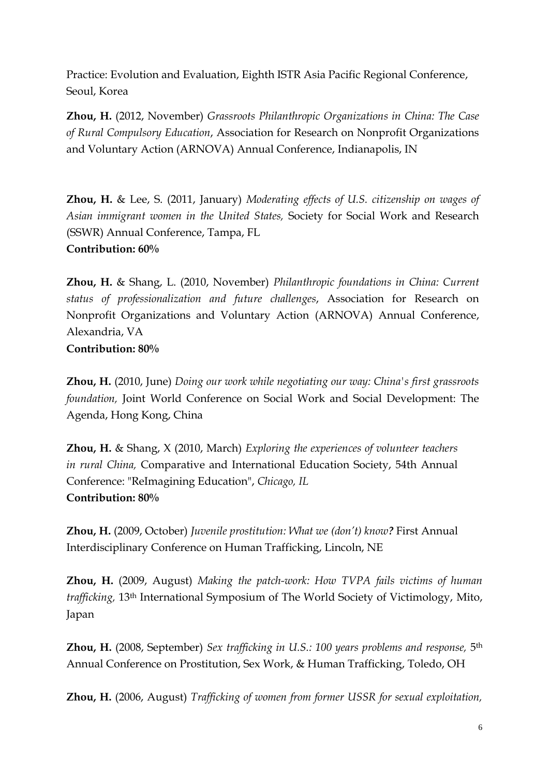Practice: Evolution and Evaluation, Eighth ISTR Asia Pacific Regional Conference, Seoul, Korea

**Zhou, H.** (2012, November) *Grassroots Philanthropic Organizations in China: The Case of Rural Compulsory Education*, Association for Research on Nonprofit Organizations and Voluntary Action (ARNOVA) Annual Conference, Indianapolis, IN

**Zhou, H.** & Lee, S. (2011, January) *Moderating effects of U.S. citizenship on wages of Asian immigrant women in the United States,* Society for Social Work and Research (SSWR) Annual Conference, Tampa, FL **Contribution: 60%**

**Zhou, H.** & Shang, L. (2010, November) *Philanthropic foundations in China: Current status of professionalization and future challenges*, Association for Research on Nonprofit Organizations and Voluntary Action (ARNOVA) Annual Conference, Alexandria, VA **Contribution: 80%**

**Zhou, H.** (2010, June) *Doing our work while negotiating our way: China's first grassroots foundation,* Joint World Conference on Social Work and Social Development: The Agenda, Hong Kong, China

**Zhou, H.** & Shang, X (2010, March) *Exploring the experiences of volunteer teachers in rural China,* Comparative and International Education Society, 54th Annual Conference: "ReImagining Education", *Chicago, IL* **Contribution: 80%**

**Zhou, H.** (2009, October) *Juvenile prostitution: What we (don't) know?* First Annual Interdisciplinary Conference on Human Trafficking, Lincoln, NE

**Zhou, H.** (2009, August) *Making the patch-work: How TVPA fails victims of human trafficking,* 13th International Symposium of The World Society of Victimology, Mito, Japan

**Zhou, H.** (2008, September) *Sex trafficking in U.S.: 100 years problems and response,* 5th Annual Conference on Prostitution, Sex Work, & Human Trafficking, Toledo, OH

**Zhou, H.** (2006, August) *Trafficking of women from former USSR for sexual exploitation,*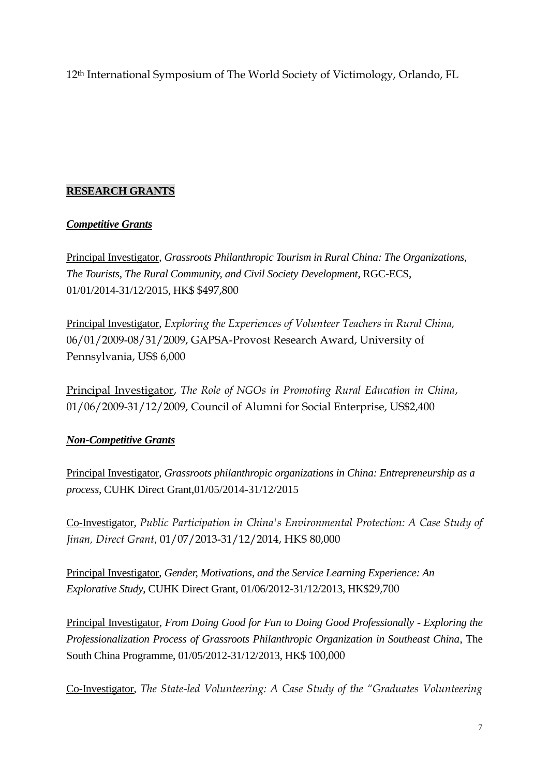12th International Symposium of The World Society of Victimology, Orlando, FL

# **RESEARCH GRANTS**

## *Competitive Grants*

Principal Investigator, *Grassroots Philanthropic Tourism in Rural China: The Organizations, The Tourists, The Rural Community, and Civil Society Development*, RGC-ECS, 01/01/2014-31/12/2015, HK\$ \$497,800

Principal Investigator, *Exploring the Experiences of Volunteer Teachers in Rural China,*  06/01/2009-08/31/2009, GAPSA-Provost Research Award, University of Pennsylvania, US\$ 6,000

Principal Investigator, *The Role of NGOs in Promoting Rural Education in China*, 01/06/2009-31/12/2009, Council of Alumni for Social Enterprise, US\$2,400

# *Non-Competitive Grants*

Principal Investigator, *Grassroots philanthropic organizations in China: Entrepreneurship as a process,* CUHK Direct Grant,01/05/2014-31/12/2015

Co-Investigator, *Public Participation in China's Environmental Protection: A Case Study of Jinan, Direct Grant*, 01/07/2013-31/12/2014, HK\$ 80,000

Principal Investigator, *Gender, Motivations, and the Service Learning Experience: An Explorative Study*, CUHK Direct Grant, 01/06/2012-31/12/2013, HK\$29,700

Principal Investigator, *From Doing Good for Fun to Doing Good Professionally - Exploring the Professionalization Process of Grassroots Philanthropic Organization in Southeast China*, The South China Programme, 01/05/2012-31/12/2013, HK\$ 100,000

Co-Investigator, *The State-led Volunteering: A Case Study of the "Graduates Volunteering*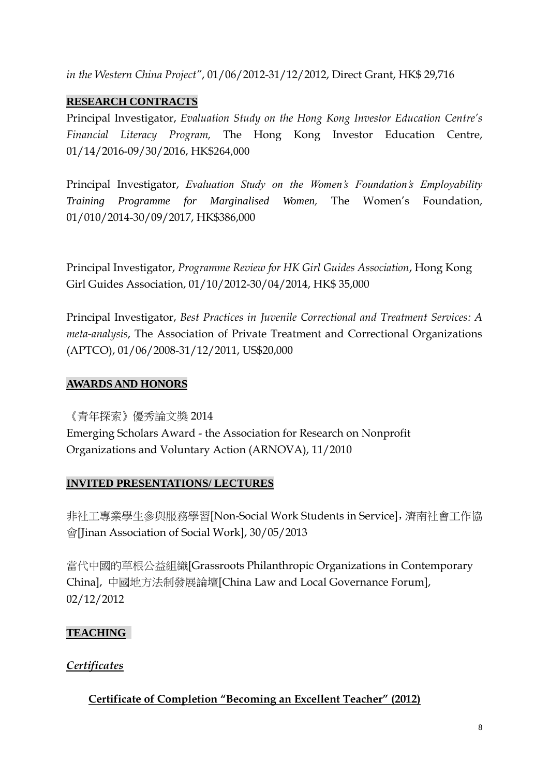*in the Western China Project"*, 01/06/2012-31/12/2012, Direct Grant, HK\$ 29,716

## **RESEARCH CONTRACTS**

Principal Investigator, *Evaluation Study on the Hong Kong Investor Education Centre's Financial Literacy Program,* The Hong Kong Investor Education Centre, 01/14/2016-09/30/2016, HK\$264,000

Principal Investigator, *Evaluation Study on the Women's Foundation's Employability Training Programme for Marginalised Women,* The Women's Foundation, 01/010/2014-30/09/2017, HK\$386,000

Principal Investigator, *Programme Review for HK Girl Guides Association*, Hong Kong Girl Guides Association, 01/10/2012-30/04/2014, HK\$ 35,000

Principal Investigator, *Best Practices in Juvenile Correctional and Treatment Services: A meta-analysis*, The Association of Private Treatment and Correctional Organizations (APTCO), 01/06/2008-31/12/2011, US\$20,000

## **AWARDS AND HONORS**

《青年探索》優秀論文獎 2014 Emerging Scholars Award - the Association for Research on Nonprofit Organizations and Voluntary Action (ARNOVA), 11/2010

## **INVITED PRESENTATIONS/ LECTURES**

非社工專業學生參與服務學習[Non-Social Work Students in Service],濟南社會工作協 會[Jinan Association of Social Work], 30/05/2013

當代中國的草根公益組織[Grassroots Philanthropic Organizations in Contemporary China], 中國地方法制發展論壇[China Law and Local Governance Forum], 02/12/2012

## **TEACHING**

# *Certificates*

# **Certificate of Completion "Becoming an Excellent Teacher" (2012)**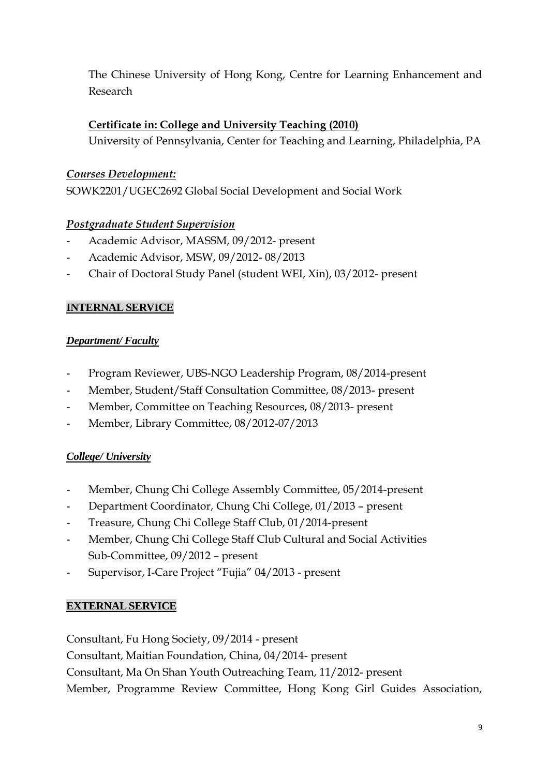The Chinese University of Hong Kong, Centre for Learning Enhancement and Research

# **Certificate in: College and University Teaching (2010)**

University of Pennsylvania, Center for Teaching and Learning, Philadelphia, PA

# *Courses Development:*

SOWK2201/UGEC2692 Global Social Development and Social Work

# *Postgraduate Student Supervision*

- Academic Advisor, MASSM, 09/2012- present
- Academic Advisor, MSW, 09/2012- 08/2013
- Chair of Doctoral Study Panel (student WEI, Xin), 03/2012- present

# **INTERNAL SERVICE**

## *Department/ Faculty*

- Program Reviewer, UBS-NGO Leadership Program, 08/2014-present
- Member, Student/Staff Consultation Committee, 08/2013- present
- Member, Committee on Teaching Resources, 08/2013- present
- Member, Library Committee, 08/2012-07/2013

# *College/ University*

- Member, Chung Chi College Assembly Committee, 05/2014-present
- Department Coordinator, Chung Chi College, 01/2013 present
- Treasure, Chung Chi College Staff Club, 01/2014-present
- Member, Chung Chi College Staff Club Cultural and Social Activities Sub-Committee, 09/2012 – present
- Supervisor, I-Care Project "Fujia" 04/2013 present

# **EXTERNAL SERVICE**

Consultant, Fu Hong Society, 09/2014 - present

Consultant, Maitian Foundation, China, 04/2014- present

Consultant, Ma On Shan Youth Outreaching Team, 11/2012- present

Member, Programme Review Committee, Hong Kong Girl Guides Association,